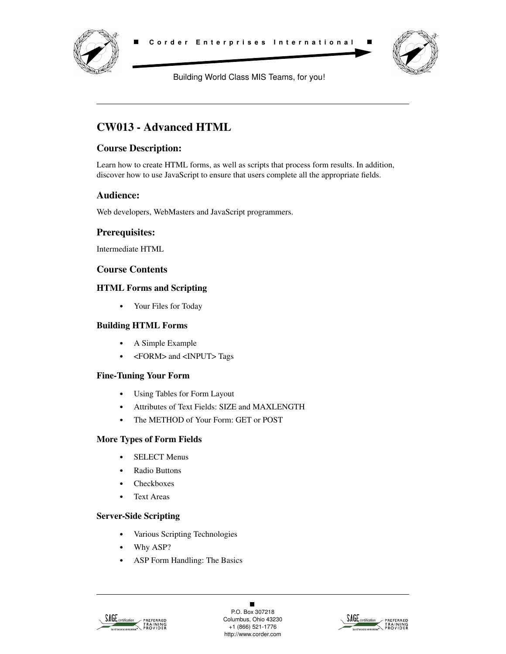



Building World Class MIS Teams, for you!

# **CW013 - Advanced HTML**

## **Course Description:**

Learn how to create HTML forms, as well as scripts that process form results. In addition, discover how to use JavaScript to ensure that users complete all the appropriate fields.

## **Audience:**

Web developers, WebMasters and JavaScript programmers.

## **Prerequisites:**

Intermediate HTML

### **Course Contents**

### **HTML Forms and Scripting**

**•** Your Files for Today

#### **Building HTML Forms**

- **•** A Simple Example
- **•** <FORM> and <INPUT> Tags

#### **Fine-Tuning Your Form**

- **•** Using Tables for Form Layout
- **•** Attributes of Text Fields: SIZE and MAXLENGTH
- **•** The METHOD of Your Form: GET or POST

## **More Types of Form Fields**

- **•** SELECT Menus
- **•** Radio Buttons
- **•** Checkboxes
- **•** Text Areas

## **Server-Side Scripting**

- **•** Various Scripting Technologies
- **•** Why ASP?
- **•** ASP Form Handling: The Basics



 $\blacksquare$ P.O. Box 307218 Columbus, Ohio 43230 +1 (866) 521-1776 http://www.corder.com